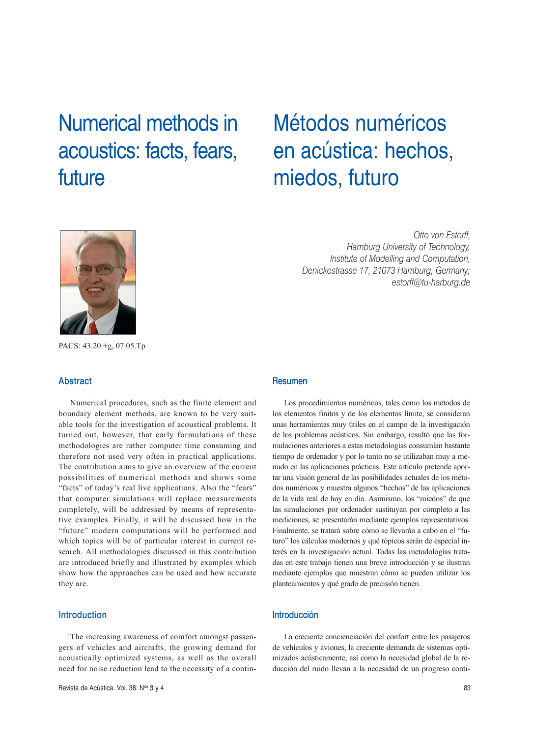# Numerical methods in acoustics: facts, fears, future

# Métodos numéricos en acústica: hechos, miedos, futuro



*Otto von Estorff, Hamburg University of Technology, Institute of Modelling and Computation, Denickestrasse 17, 21073 Hamburg, Germany; estorff@tu-harburg.de*

PACS: 43.20.+g, 07.05.Tp

## Abstract

Numerical procedures, such as the finite element and boundary element methods, are known to be very suitable tools for the investigation of acoustical problems. It turned out, however, that early formulations of these methodologies are rather computer time consuming and therefore not used very often in practical applications. The contribution aims to give an overview of the current possibilities of numerical methods and shows some "facts" of today's real live applications. Also the "fears" that computer simulations will replace measurements completely, will be addressed by means of representative examples. Finally, it will be discussed how in the "future" modern computations will be performed and which topics will be of particular interest in current research. All methodologies discussed in this contribution are introduced briefly and illustrated by examples which show how the approaches can be used and how accurate they are.

# Introduction

The increasing awareness of comfort amongst passengers of vehicles and aircrafts, the growing demand for acoustically optimized systems, as well as the overall need for noise reduction lead to the necessity of a contin-

## Resumen

Los procedimientos numéricos, tales como los métodos de los elementos finitos y de los elementos límite, se consideran unas herramientas muy útiles en el campo de la investigación de los problemas acústicos. Sin embargo, resultó que las formulaciones anteriores a estas metodologías consumían bastante tiempo de ordenador y por lo tanto no se utilizaban muy a menudo en las aplicaciones prácticas. Este artículo pretende aportar una visión general de las posibilidades actuales de los métodos numéricos y muestra algunos "hechos" de las aplicaciones de la vida real de hoy en día. Asimismo, los "miedos" de que las simulaciones por ordenador sustituyan por completo a las mediciones, se presentarán mediante ejemplos representativos. Finalmente, se tratará sobre cómo se llevarán a cabo en el "futuro" los cálculos modernos y qué tópicos serán de especial interés en la investigación actual. Todas las metodologías tratadas en este trabajo tienen una breve introducción y se ilustran mediante ejemplos que muestran cómo se pueden utilizar los planteamientos y qué grado de precisión tienen.

# Introducción

La creciente concienciación del confort entre los pasajeros de vehículos y aviones, la creciente demanda de sistemas optimizados acústicamente, así como la necesidad global de la reducción del ruido llevan a la necesidad de un progreso conti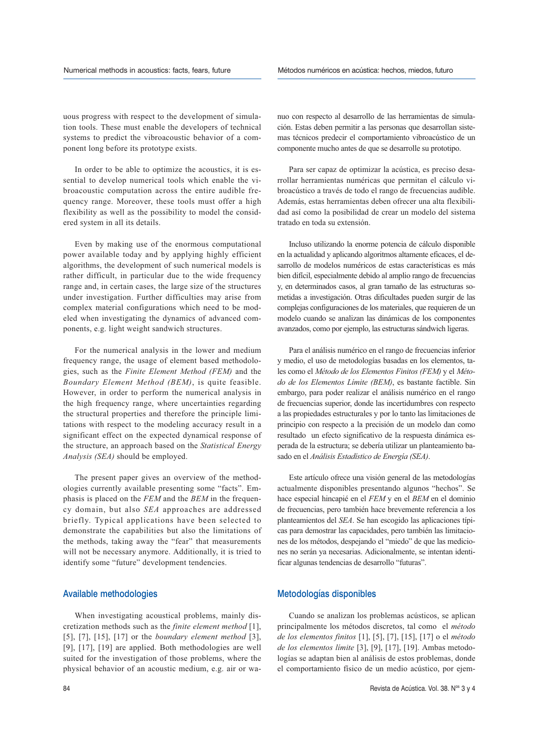uous progress with respect to the development of simulation tools. These must enable the developers of technical systems to predict the vibroacoustic behavior of a component long before its prototype exists.

In order to be able to optimize the acoustics, it is essential to develop numerical tools which enable the vibroacoustic computation across the entire audible frequency range. Moreover, these tools must offer a high flexibility as well as the possibility to model the considered system in all its details.

Even by making use of the enormous computational power available today and by applying highly efficient algorithms, the development of such numerical models is rather difficult, in particular due to the wide frequency range and, in certain cases, the large size of the structures under investigation. Further difficulties may arise from complex material configurations which need to be modeled when investigating the dynamics of advanced components, e.g. light weight sandwich structures.

For the numerical analysis in the lower and medium frequency range, the usage of element based methodologies, such as the *Finite Element Method (FEM)* and the *Boundary Element Method (BEM)*, is quite feasible. However, in order to perform the numerical analysis in the high frequency range, where uncertainties regarding the structural properties and therefore the principle limitations with respect to the modeling accuracy result in a significant effect on the expected dynamical response of the structure, an approach based on the *Statistical Energy Analysis (SEA)* should be employed.

The present paper gives an overview of the methodologies currently available presenting some "facts". Emphasis is placed on the *FEM* and the *BEM* in the frequency domain, but also *SEA* approaches are addressed briefly. Typical applications have been selected to demonstrate the capabilities but also the limitations of the methods, taking away the "fear" that measurements will not be necessary anymore. Additionally, it is tried to identify some "future" development tendencies.

#### Available methodologies

When investigating acoustical problems, mainly discretization methods such as the *finite element method* [1], [5], [7], [15], [17] or the *boundary element method* [3], [9], [17], [19] are applied. Both methodologies are well suited for the investigation of those problems, where the physical behavior of an acoustic medium, e.g. air or wanuo con respecto al desarrollo de las herramientas de simulación. Estas deben permitir a las personas que desarrollan sistemas técnicos predecir el comportamiento vibroacústico de un componente mucho antes de que se desarrolle su prototipo.

Para ser capaz de optimizar la acústica, es preciso desarrollar herramientas numéricas que permitan el cálculo vibroacústico a través de todo el rango de frecuencias audible. Además, estas herramientas deben ofrecer una alta flexibilidad así como la posibilidad de crear un modelo del sistema tratado en toda su extensión.

Incluso utilizando la enorme potencia de cálculo disponible en la actualidad y aplicando algoritmos altamente eficaces, el desarrollo de modelos numéricos de estas características es más bien difícil, especialmente debido al amplio rango de frecuencias y, en determinados casos, al gran tamaño de las estructuras sometidas a investigación. Otras dificultades pueden surgir de las complejas configuraciones de los materiales, que requieren de un modelo cuando se analizan las dinámicas de los componentes avanzados, como por ejemplo, las estructuras sándwich ligeras.

Para el análisis numérico en el rango de frecuencias inferior y medio, el uso de metodologías basadas en los elementos, tales como el *Método de los Elementos Finitos (FEM)* y el *Método de los Elementos Límite (BEM)*, es bastante factible. Sin embargo, para poder realizar el análisis numérico en el rango de frecuencias superior, donde las incertidumbres con respecto a las propiedades estructurales y por lo tanto las limitaciones de principio con respecto a la precisión de un modelo dan como resultado un efecto significativo de la respuesta dinámica esperada de la estructura; se debería utilizar un planteamiento basado en el *Análisis Estadístico de Energía (SEA)*.

Este artículo ofrece una visión general de las metodologías actualmente disponibles presentando algunos "hechos". Se hace especial hincapié en el *FEM* y en el *BEM* en el dominio de frecuencias, pero también hace brevemente referencia a los planteamientos del *SEA*. Se han escogido las aplicaciones típicas para demostrar las capacidades, pero también las limitaciones de los métodos, despejando el "miedo" de que las mediciones no serán ya necesarias. Adicionalmente, se intentan identificar algunas tendencias de desarrollo "futuras".

## Metodologías disponibles

Cuando se analizan los problemas acústicos, se aplican principalmente los métodos discretos, tal como el *método de los elementos finitos* [1], [5], [7], [15], [17] o el *método de los elementos límite* [3], [9], [17], [19]. Ambas metodologías se adaptan bien al análisis de estos problemas, donde el comportamiento físico de un medio acústico, por ejem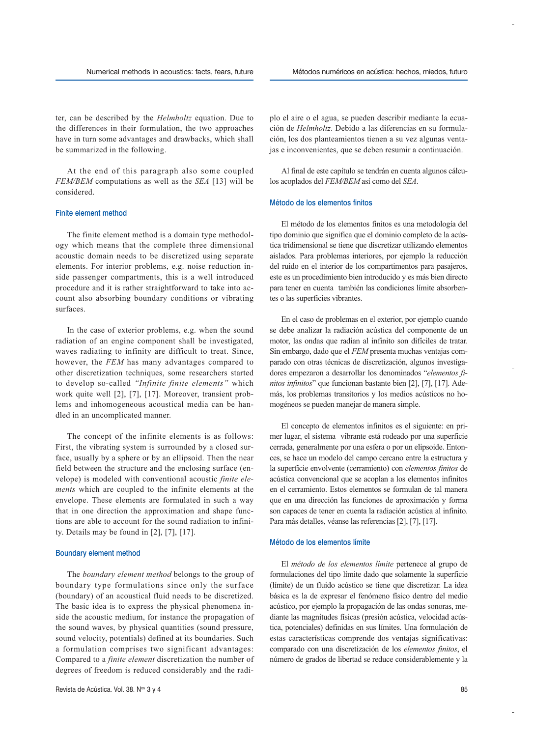ter, can be described by the *Helmholtz* equation. Due to the differences in their formulation, the two approaches have in turn some advantages and drawbacks, which shall be summarized in the following.

At the end of this paragraph also some coupled *FEM/BEM* computations as well as the *SEA* [13] will be considered.

#### Finite element method

The finite element method is a domain type methodology which means that the complete three dimensional acoustic domain needs to be discretized using separate elements. For interior problems, e.g. noise reduction inside passenger compartments, this is a well introduced procedure and it is rather straightforward to take into account also absorbing boundary conditions or vibrating surfaces.

In the case of exterior problems, e.g. when the sound radiation of an engine component shall be investigated, waves radiating to infinity are difficult to treat. Since, however, the *FEM* has many advantages compared to other discretization techniques, some researchers started to develop so-called *"Infinite finite elements"* which work quite well [2], [7], [17]. Moreover, transient problems and inhomogeneous acoustical media can be handled in an uncomplicated manner.

The concept of the infinite elements is as follows: First, the vibrating system is surrounded by a closed surface, usually by a sphere or by an ellipsoid. Then the near field between the structure and the enclosing surface (envelope) is modeled with conventional acoustic *finite elements* which are coupled to the infinite elements at the envelope. These elements are formulated in such a way that in one direction the approximation and shape functions are able to account for the sound radiation to infinity. Details may be found in [2], [7], [17].

#### Boundary element method

The *boundary element method* belongs to the group of boundary type formulations since only the surface (boundary) of an acoustical fluid needs to be discretized. The basic idea is to express the physical phenomena inside the acoustic medium, for instance the propagation of the sound waves, by physical quantities (sound pressure, sound velocity, potentials) defined at its boundaries. Such a formulation comprises two significant advantages: Compared to a *finite element* discretization the number of degrees of freedom is reduced considerably and the radiplo el aire o el agua, se pueden describir mediante la ecuación de *Helmholtz*. Debido a las diferencias en su formulación, los dos planteamientos tienen a su vez algunas ventajas e inconvenientes, que se deben resumir a continuación.

Al final de este capítulo se tendrán en cuenta algunos cálculos acoplados del *FEM/BEM* así como del *SEA*.

#### Método de los elementos finitos

El método de los elementos finitos es una metodología del tipo dominio que significa que el dominio completo de la acústica tridimensional se tiene que discretizar utilizando elementos aislados. Para problemas interiores, por ejemplo la reducción del ruido en el interior de los compartimentos para pasajeros, este es un procedimiento bien introducido y es más bien directo para tener en cuenta también las condiciones límite absorbentes o las superficies vibrantes.

En el caso de problemas en el exterior, por ejemplo cuando se debe analizar la radiación acústica del componente de un motor, las ondas que radian al infinito son difíciles de tratar. Sin embargo, dado que el *FEM* presenta muchas ventajas comparado con otras técnicas de discretización, algunos investigadores empezaron a desarrollar los denominados "*elementos finitos infinitos*" que funcionan bastante bien [2], [7], [17]. Además, los problemas transitorios y los medios acústicos no homogéneos se pueden manejar de manera simple.

El concepto de elementos infinitos es el siguiente: en primer lugar, el sistema vibrante está rodeado por una superficie cerrada, generalmente por una esfera o por un elipsoide. Entonces, se hace un modelo del campo cercano entre la estructura y la superficie envolvente (cerramiento) con *elementos finitos* de acústica convencional que se acoplan a los elementos infinitos en el cerramiento. Estos elementos se formulan de tal manera que en una dirección las funciones de aproximación y forma son capaces de tener en cuenta la radiación acústica al infinito. Para más detalles, véanse las referencias [2], [7], [17].

#### Método de los elementos límite

El *método de los elementos límite* pertenece al grupo de formulaciones del tipo límite dado que solamente la superficie (límite) de un fluido acústico se tiene que discretizar. La idea básica es la de expresar el fenómeno físico dentro del medio acústico, por ejemplo la propagación de las ondas sonoras, mediante las magnitudes físicas (presión acústica, velocidad acústica, potenciales) definidas en sus límites. Una formulación de estas características comprende dos ventajas significativas: comparado con una discretización de los *elementos finitos*, el número de grados de libertad se reduce considerablemente y la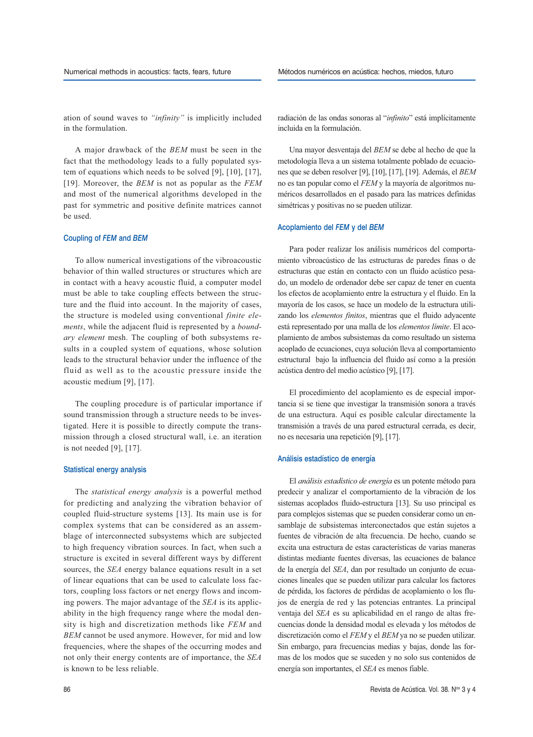ation of sound waves to *"infinity"* is implicitly included in the formulation.

A major drawback of the *BEM* must be seen in the fact that the methodology leads to a fully populated system of equations which needs to be solved [9], [10], [17], [19]. Moreover, the *BEM* is not as popular as the *FEM* and most of the numerical algorithms developed in the past for symmetric and positive definite matrices cannot be used.

#### Coupling of *FEM* and *BEM*

To allow numerical investigations of the vibroacoustic behavior of thin walled structures or structures which are in contact with a heavy acoustic fluid, a computer model must be able to take coupling effects between the structure and the fluid into account. In the majority of cases, the structure is modeled using conventional *finite elements*, while the adjacent fluid is represented by a *boundary element* mesh. The coupling of both subsystems results in a coupled system of equations, whose solution leads to the structural behavior under the influence of the fluid as well as to the acoustic pressure inside the acoustic medium [9], [17].

The coupling procedure is of particular importance if sound transmission through a structure needs to be investigated. Here it is possible to directly compute the transmission through a closed structural wall, i.e. an iteration is not needed [9], [17].

#### Statistical energy analysis

The *statistical energy analysis* is a powerful method for predicting and analyzing the vibration behavior of coupled fluid-structure systems [13]. Its main use is for complex systems that can be considered as an assemblage of interconnected subsystems which are subjected to high frequency vibration sources. In fact, when such a structure is excited in several different ways by different sources, the *SEA* energy balance equations result in a set of linear equations that can be used to calculate loss factors, coupling loss factors or net energy flows and incoming powers. The major advantage of the *SEA* is its applicability in the high frequency range where the modal density is high and discretization methods like *FEM* and *BEM* cannot be used anymore. However, for mid and low frequencies, where the shapes of the occurring modes and not only their energy contents are of importance, the *SEA* is known to be less reliable.

radiación de las ondas sonoras al "*infinito*" está implícitamente incluida en la formulación.

Una mayor desventaja del *BEM* se debe al hecho de que la metodología lleva a un sistema totalmente poblado de ecuaciones que se deben resolver [9], [10], [17], [19]. Además, el *BEM* no es tan popular como el *FEM* y la mayoría de algoritmos numéricos desarrollados en el pasado para las matrices definidas simétricas y positivas no se pueden utilizar.

#### Acoplamiento del *FEM* y del *BEM*

Para poder realizar los análisis numéricos del comportamiento vibroacústico de las estructuras de paredes finas o de estructuras que están en contacto con un fluido acústico pesado, un modelo de ordenador debe ser capaz de tener en cuenta los efectos de acoplamiento entre la estructura y el fluido. En la mayoría de los casos, se hace un modelo de la estructura utilizando los *elementos finitos*, mientras que el fluido adyacente está representado por una malla de los *elementos límite*. El acoplamiento de ambos subsistemas da como resultado un sistema acoplado de ecuaciones, cuya solución lleva al comportamiento estructural bajo la influencia del fluido así como a la presión acústica dentro del medio acústico [9], [17].

El procedimiento del acoplamiento es de especial importancia si se tiene que investigar la transmisión sonora a través de una estructura. Aquí es posible calcular directamente la transmisión a través de una pared estructural cerrada, es decir, no es necesaria una repetición [9], [17].

#### Análisis estadístico de energía

El *análisis estadístico de energía* es un potente método para predecir y analizar el comportamiento de la vibración de los sistemas acoplados fluido-estructura [13]. Su uso principal es para complejos sistemas que se pueden considerar como un ensamblaje de subsistemas interconectados que están sujetos a fuentes de vibración de alta frecuencia. De hecho, cuando se excita una estructura de estas características de varias maneras distintas mediante fuentes diversas, las ecuaciones de balance de la energía del *SEA*, dan por resultado un conjunto de ecuaciones lineales que se pueden utilizar para calcular los factores de pérdida, los factores de pérdidas de acoplamiento o los flujos de energía de red y las potencias entrantes. La principal ventaja del *SEA* es su aplicabilidad en el rango de altas frecuencias donde la densidad modal es elevada y los métodos de discretización como el *FEM* y el *BEM* ya no se pueden utilizar. Sin embargo, para frecuencias medias y bajas, donde las formas de los modos que se suceden y no solo sus contenidos de energía son importantes, el *SEA* es menos fiable.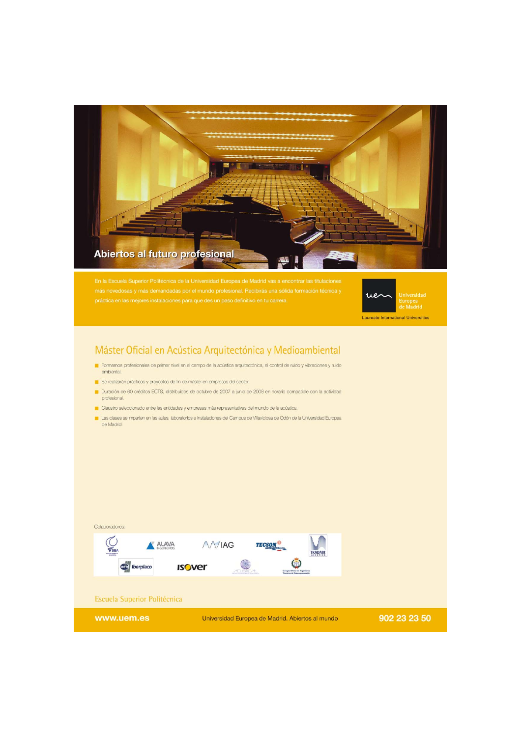



Laureate International Universities

# Máster Oficial en Acústica Arquitectónica y Medioambiental

- Formamos profesionales de primer nivel en el campo de la acústica arquitectónica, el control de ruido y vibraciones y ruido ambiental.
- Se realizarán prácticas y proyectos de fin de máster en empresas del sector.
- Duración de 60 créditos ECTS, distribuidos de octubre de 2007 a junio de 2008 en horario compatible con la actividad profesional.
- Claustro seleccionado entre las entidades y empresas más representativas del mundo de la acústica.
- Las clases se imparten en las aulas, laboratorios e instalaciones del Campus de Villaviciosa de Odón de la Universidad Europea de Madrid.



# Escuela Superior Politécnica

www.uem.es

Colaboradores:

Universidad Europea de Madrid. Abiertos al mundo

902 23 23 50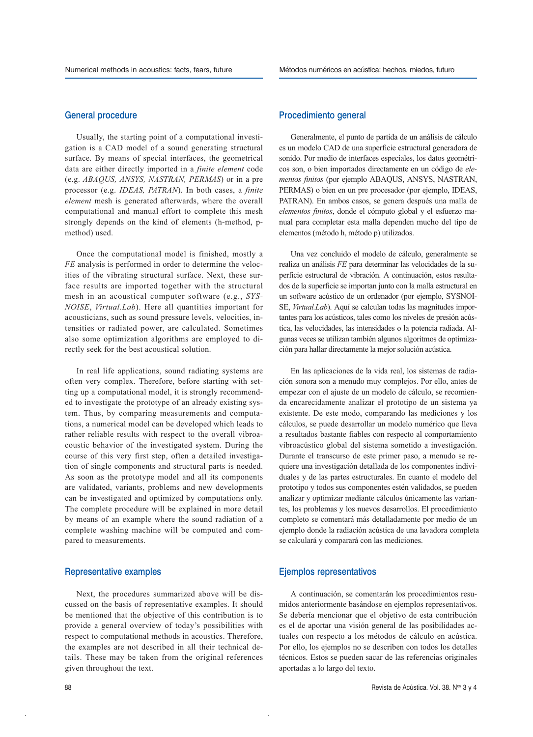### General procedure

Usually, the starting point of a computational investigation is a CAD model of a sound generating structural surface. By means of special interfaces, the geometrical data are either directly imported in a *finite element* code (e.g. *ABAQUS, ANSYS, NASTRAN, PERMAS*) or in a pre processor (e.g. *IDEAS, PATRAN*). In both cases, a *finite element* mesh is generated afterwards, where the overall computational and manual effort to complete this mesh strongly depends on the kind of elements (h-method, pmethod) used.

Once the computational model is finished, mostly a *FE* analysis is performed in order to determine the velocities of the vibrating structural surface. Next, these surface results are imported together with the structural mesh in an acoustical computer software (e.g., *SYS-NOISE*, *Virtual.Lab*). Here all quantities important for acousticians, such as sound pressure levels, velocities, intensities or radiated power, are calculated. Sometimes also some optimization algorithms are employed to directly seek for the best acoustical solution.

In real life applications, sound radiating systems are often very complex. Therefore, before starting with setting up a computational model, it is strongly recommended to investigate the prototype of an already existing system. Thus, by comparing measurements and computations, a numerical model can be developed which leads to rather reliable results with respect to the overall vibroacoustic behavior of the investigated system. During the course of this very first step, often a detailed investigation of single components and structural parts is needed. As soon as the prototype model and all its components are validated, variants, problems and new developments can be investigated and optimized by computations only. The complete procedure will be explained in more detail by means of an example where the sound radiation of a complete washing machine will be computed and compared to measurements.

### Representative examples

Next, the procedures summarized above will be discussed on the basis of representative examples. It should be mentioned that the objective of this contribution is to provide a general overview of today's possibilities with respect to computational methods in acoustics. Therefore, the examples are not described in all their technical details. These may be taken from the original references given throughout the text.

## Procedimiento general

Generalmente, el punto de partida de un análisis de cálculo es un modelo CAD de una superficie estructural generadora de sonido. Por medio de interfaces especiales, los datos geométricos son, o bien importados directamente en un código de *elementos finitos* (por ejemplo ABAQUS, ANSYS, NASTRAN, PERMAS) o bien en un pre procesador (por ejemplo, IDEAS, PATRAN). En ambos casos, se genera después una malla de *elementos finitos*, donde el cómputo global y el esfuerzo manual para completar esta malla dependen mucho del tipo de elementos (método h, método p) utilizados.

Una vez concluido el modelo de cálculo, generalmente se realiza un análisis *FE* para determinar las velocidades de la superficie estructural de vibración. A continuación, estos resultados de la superficie se importan junto con la malla estructural en un software acústico de un ordenador (por ejemplo, SYSNOI-SE, *Virtual.Lab*). Aquí se calculan todas las magnitudes importantes para los acústicos, tales como los niveles de presión acústica, las velocidades, las intensidades o la potencia radiada. Algunas veces se utilizan también algunos algoritmos de optimización para hallar directamente la mejor solución acústica.

En las aplicaciones de la vida real, los sistemas de radiación sonora son a menudo muy complejos. Por ello, antes de empezar con el ajuste de un modelo de cálculo, se recomienda encarecidamente analizar el prototipo de un sistema ya existente. De este modo, comparando las mediciones y los cálculos, se puede desarrollar un modelo numérico que lleva a resultados bastante fiables con respecto al comportamiento vibroacústico global del sistema sometido a investigación. Durante el transcurso de este primer paso, a menudo se requiere una investigación detallada de los componentes individuales y de las partes estructurales. En cuanto el modelo del prototipo y todos sus componentes estén validados, se pueden analizar y optimizar mediante cálculos únicamente las variantes, los problemas y los nuevos desarrollos. El procedimiento completo se comentará más detalladamente por medio de un ejemplo donde la radiación acústica de una lavadora completa se calculará y comparará con las mediciones.

## Ejemplos representativos

A continuación, se comentarán los procedimientos resumidos anteriormente basándose en ejemplos representativos. Se debería mencionar que el objetivo de esta contribución es el de aportar una visión general de las posibilidades actuales con respecto a los métodos de cálculo en acústica. Por ello, los ejemplos no se describen con todos los detalles técnicos. Estos se pueden sacar de las referencias originales aportadas a lo largo del texto.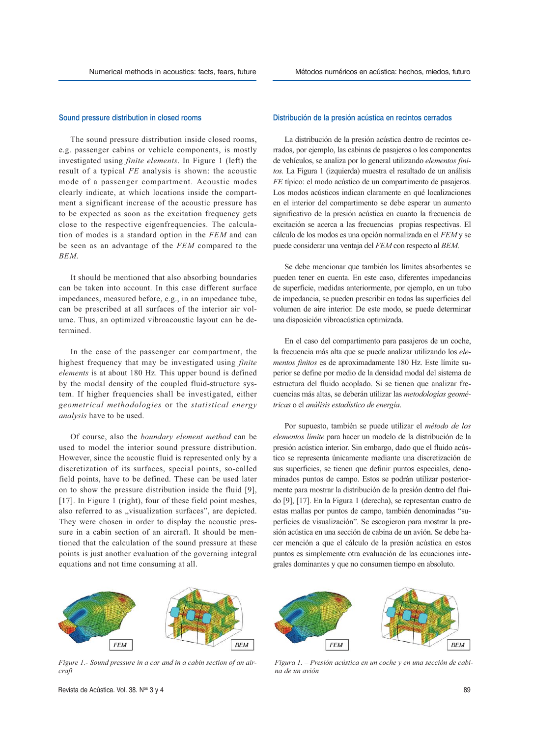#### Sound pressure distribution in closed rooms

The sound pressure distribution inside closed rooms, e.g. passenger cabins or vehicle components, is mostly investigated using *finite elements*. In Figure 1 (left) the result of a typical *FE* analysis is shown: the acoustic mode of a passenger compartment. Acoustic modes clearly indicate, at which locations inside the compartment a significant increase of the acoustic pressure has to be expected as soon as the excitation frequency gets close to the respective eigenfrequencies. The calculation of modes is a standard option in the *FEM* and can be seen as an advantage of the *FEM* compared to the *BEM*.

It should be mentioned that also absorbing boundaries can be taken into account. In this case different surface impedances, measured before, e.g., in an impedance tube, can be prescribed at all surfaces of the interior air volume. Thus, an optimized vibroacoustic layout can be determined.

In the case of the passenger car compartment, the highest frequency that may be investigated using *finite elements* is at about 180 Hz. This upper bound is defined by the modal density of the coupled fluid-structure system. If higher frequencies shall be investigated, either *geometrical methodologies* or the *statistical energy analysis* have to be used.

Of course, also the *boundary element method* can be used to model the interior sound pressure distribution. However, since the acoustic fluid is represented only by a discretization of its surfaces, special points, so-called field points, have to be defined. These can be used later on to show the pressure distribution inside the fluid [9], [17]. In Figure 1 (right), four of these field point meshes, also referred to as "visualization surfaces", are depicted. They were chosen in order to display the acoustic pressure in a cabin section of an aircraft. It should be mentioned that the calculation of the sound pressure at these points is just another evaluation of the governing integral equations and not time consuming at all.

## Distribución de la presión acústica en recintos cerrados

La distribución de la presión acústica dentro de recintos cerrados, por ejemplo, las cabinas de pasajeros o los componentes de vehículos, se analiza por lo general utilizando *elementos finitos.* La Figura 1 (izquierda) muestra el resultado de un análisis *FE* típico: el modo acústico de un compartimento de pasajeros. Los modos acústicos indican claramente en qué localizaciones en el interior del compartimento se debe esperar un aumento significativo de la presión acústica en cuanto la frecuencia de excitación se acerca a las frecuencias propias respectivas. El cálculo de los modos es una opción normalizada en el *FEM* y se puede considerar una ventaja del *FEM* con respecto al *BEM*.

Se debe mencionar que también los límites absorbentes se pueden tener en cuenta. En este caso, diferentes impedancias de superficie, medidas anteriormente, por ejemplo, en un tubo de impedancia, se pueden prescribir en todas las superficies del volumen de aire interior. De este modo, se puede determinar una disposición vibroacústica optimizada.

En el caso del compartimento para pasajeros de un coche, la frecuencia más alta que se puede analizar utilizando los *elementos finitos* es de aproximadamente 180 Hz. Este límite superior se define por medio de la densidad modal del sistema de estructura del fluido acoplado. Si se tienen que analizar frecuencias más altas, se deberán utilizar las *metodologías geométricas* o el *análisis estadístico de energía*.

Por supuesto, también se puede utilizar el *método de los elementos límite* para hacer un modelo de la distribución de la presión acústica interior. Sin embargo, dado que el fluido acústico se representa únicamente mediante una discretización de sus superficies, se tienen que definir puntos especiales, denominados puntos de campo. Estos se podrán utilizar posteriormente para mostrar la distribución de la presión dentro del fluido [9], [17]. En la Figura 1 (derecha), se representan cuatro de estas mallas por puntos de campo, también denominadas "superficies de visualización". Se escogieron para mostrar la presión acústica en una sección de cabina de un avión. Se debe hacer mención a que el cálculo de la presión acústica en estos puntos es simplemente otra evaluación de las ecuaciones integrales dominantes y que no consumen tiempo en absoluto.



*Figure 1.- Sound pressure in a car and in a cabin section of an aircraft*



*Figura 1. – Presión acústica en un coche y en una sección de cabina de un avión*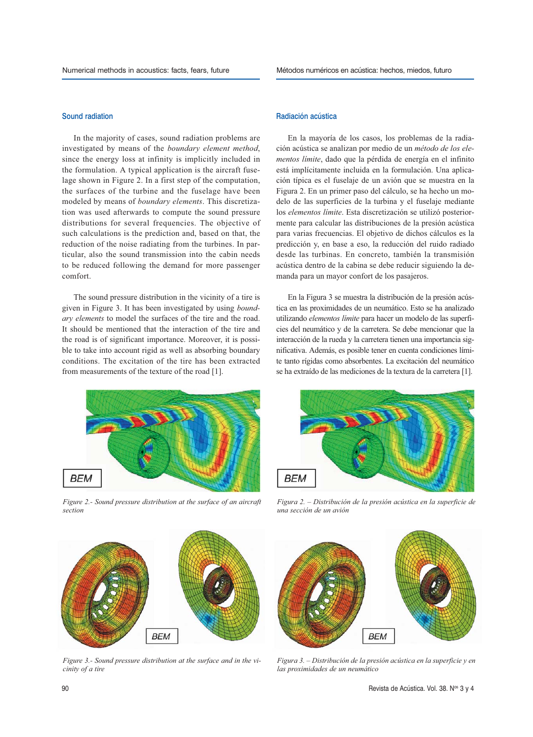#### Sound radiation

In the majority of cases, sound radiation problems are investigated by means of the *boundary element method*, since the energy loss at infinity is implicitly included in the formulation. A typical application is the aircraft fuselage shown in Figure 2. In a first step of the computation, the surfaces of the turbine and the fuselage have been modeled by means of *boundary elements*. This discretization was used afterwards to compute the sound pressure distributions for several frequencies. The objective of such calculations is the prediction and, based on that, the reduction of the noise radiating from the turbines. In particular, also the sound transmission into the cabin needs to be reduced following the demand for more passenger comfort.

The sound pressure distribution in the vicinity of a tire is given in Figure 3. It has been investigated by using *boundary elements* to model the surfaces of the tire and the road. It should be mentioned that the interaction of the tire and the road is of significant importance. Moreover, it is possible to take into account rigid as well as absorbing boundary conditions. The excitation of the tire has been extracted from measurements of the texture of the road [1].



*Figure 2.- Sound pressure distribution at the surface of an aircraft section*

#### Radiación acústica

En la mayoría de los casos, los problemas de la radiación acústica se analizan por medio de un *método de los elementos límite*, dado que la pérdida de energía en el infinito está implícitamente incluida en la formulación. Una aplicación típica es el fuselaje de un avión que se muestra en la Figura 2. En un primer paso del cálculo, se ha hecho un modelo de las superficies de la turbina y el fuselaje mediante los *elementos límite*. Esta discretización se utilizó posteriormente para calcular las distribuciones de la presión acústica para varias frecuencias. El objetivo de dichos cálculos es la predicción y, en base a eso, la reducción del ruido radiado desde las turbinas. En concreto, también la transmisión acústica dentro de la cabina se debe reducir siguiendo la demanda para un mayor confort de los pasajeros.

En la Figura 3 se muestra la distribución de la presión acústica en las proximidades de un neumático. Esto se ha analizado utilizando *elementos límite* para hacer un modelo de las superficies del neumático y de la carretera. Se debe mencionar que la interacción de la rueda y la carretera tienen una importancia significativa. Además, es posible tener en cuenta condiciones límite tanto rígidas como absorbentes. La excitación del neumático se ha extraído de las mediciones de la textura de la carretera [1].



*Figura 2. – Distribución de la presión acústica en la superficie de una sección de un avión*



*Figure 3.- Sound pressure distribution at the surface and in the vicinity of a tire*



*Figura 3. – Distribución de la presión acústica en la superficie y en las proximidades de un neumático*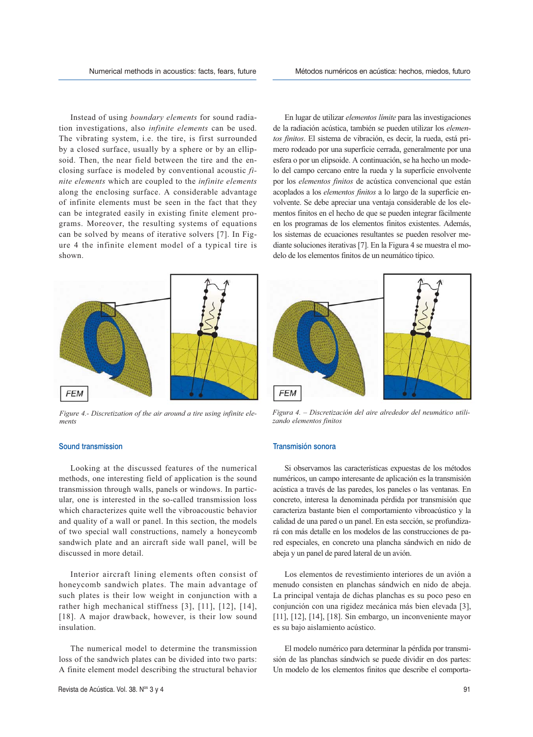Instead of using *boundary elements* for sound radiation investigations, also *infinite elements* can be used. The vibrating system, i.e. the tire, is first surrounded by a closed surface, usually by a sphere or by an ellipsoid. Then, the near field between the tire and the enclosing surface is modeled by conventional acoustic *finite elements* which are coupled to the *infinite elements* along the enclosing surface. A considerable advantage of infinite elements must be seen in the fact that they can be integrated easily in existing finite element programs. Moreover, the resulting systems of equations can be solved by means of iterative solvers [7]. In Figure 4 the infinite element model of a typical tire is shown.



*Figure 4.- Discretization of the air around a tire using infinite elements*

### Sound transmission

Looking at the discussed features of the numerical methods, one interesting field of application is the sound transmission through walls, panels or windows. In particular, one is interested in the so-called transmission loss which characterizes quite well the vibroacoustic behavior and quality of a wall or panel. In this section, the models of two special wall constructions, namely a honeycomb sandwich plate and an aircraft side wall panel, will be discussed in more detail.

Interior aircraft lining elements often consist of honeycomb sandwich plates. The main advantage of such plates is their low weight in conjunction with a rather high mechanical stiffness [3], [11], [12], [14], [18]. A major drawback, however, is their low sound insulation.

The numerical model to determine the transmission loss of the sandwich plates can be divided into two parts: A finite element model describing the structural behavior

En lugar de utilizar *elementos límite* para las investigaciones de la radiación acústica, también se pueden utilizar los *elementos finitos*. El sistema de vibración, es decir, la rueda, está primero rodeado por una superficie cerrada, generalmente por una esfera o por un elipsoide. A continuación, se ha hecho un modelo del campo cercano entre la rueda y la superficie envolvente por los *elementos finitos* de acústica convencional que están acoplados a los *elementos finitos* a lo largo de la superficie envolvente. Se debe apreciar una ventaja considerable de los elementos finitos en el hecho de que se pueden integrar fácilmente en los programas de los elementos finitos existentes. Además, los sistemas de ecuaciones resultantes se pueden resolver mediante soluciones iterativas [7]. En la Figura 4 se muestra el modelo de los elementos finitos de un neumático típico.



*Figura 4. – Discretización del aire alrededor del neumático utilizando elementos finitos*

#### Transmisión sonora

Si observamos las características expuestas de los métodos numéricos, un campo interesante de aplicación es la transmisión acústica a través de las paredes, los paneles o las ventanas. En concreto, interesa la denominada pérdida por transmisión que caracteriza bastante bien el comportamiento vibroacústico y la calidad de una pared o un panel. En esta sección, se profundizará con más detalle en los modelos de las construcciones de pared especiales, en concreto una plancha sándwich en nido de abeja y un panel de pared lateral de un avión.

Los elementos de revestimiento interiores de un avión a menudo consisten en planchas sándwich en nido de abeja. La principal ventaja de dichas planchas es su poco peso en conjunción con una rigidez mecánica más bien elevada [3], [11], [12], [14], [18]. Sin embargo, un inconveniente mayor es su bajo aislamiento acústico.

El modelo numérico para determinar la pérdida por transmisión de las planchas sándwich se puede dividir en dos partes: Un modelo de los elementos finitos que describe el comporta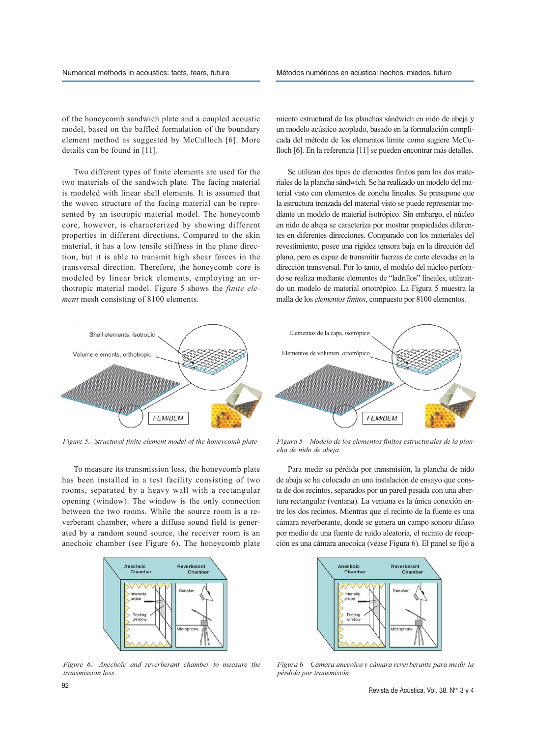of the honeycomb sandwich plate and a coupled acoustic model, based on the baffled formulation of the boundary element method as suggested by McCulloch [6]. More details can be found in [11].

Two different types of finite elements are used for the two materials of the sandwich plate. The facing material is modeled with linear shell elements. It is assumed that the woven structure of the facing material can be represented by an isotropic material model. The honeycomb core, however, is characterized by showing different properties in different directions. Compared to the skin material, it has a low tensile stiffness in the plane direction, but it is able to transmit high shear forces in the transversal direction. Therefore, the honeycomb core is modeled by linear brick elements, employing an orthotropic material model. Figure 5 shows the *finite element* mesh consisting of 8100 elements.

miento estructural de las planchas sándwich en nido de abeja y un modelo acústico acoplado, basado en la formulación complicada del método de los elementos límite como sugiere McCulloch [6]. En la referencia [11] se pueden encontrar más detalles.

Se utilizan dos tipos de elementos finitos para los dos materiales de la plancha sándwich. Se ha realizado un modelo del material visto con elementos de concha lineales. Se presupone que la estructura trenzada del material visto se puede representar mediante un modelo de material isotrópico. Sin embargo, el núcleo en nido de abeja se caracteriza por mostrar propiedades diferentes en diferentes direcciones. Comparado con los materiales del revestimiento, posee una rigidez tensora baja en la dirección del plano, pero es capaz de transmitir fuerzas de corte elevadas en la dirección transversal. Por lo tanto, el modelo del núcleo perforado se realiza mediante elementos de "ladrillos" lineales, utilizando un modelo de material ortotrópico. La Figura 5 muestra la malla de los *elementos finitos*, compuesto por 8100 elementos.



To measure its transmission loss, the honeycomb plate has been installed in a test facility consisting of two rooms, separated by a heavy wall with a rectangular opening (window). The window is the only connection between the two rooms. While the source room is a reverberant chamber, where a diffuse sound field is generated by a random sound source, the receiver room is an anechoic chamber (see Figure 6). The honeycomb plate



*Figure 6.- Anechoic and reverberant chamber to measure the transmission loss*



*Figure 5.- Structural finite element model of the honeycomb plate Figura 5 – Modelo de los elementos finitos estructurales de la plancha de nido de abeja*

Para medir su pérdida por transmisión, la plancha de nido de abaja se ha colocado en una instalación de ensayo que consta de dos recintos, separados por un pared pesada con una abertura rectangular (ventana). La ventana es la única conexión entre los dos recintos. Mientras que el recinto de la fuente es una cámara reverberante, donde se genera un campo sonoro difuso por medio de una fuente de ruido aleatoria, el recinto de recepción es una cámara anecoica (véase Figura 6). El panel se fijó a



*Figura 6 – Cámara anecoica y cámara reverberante para medir la pérdida por transmisión*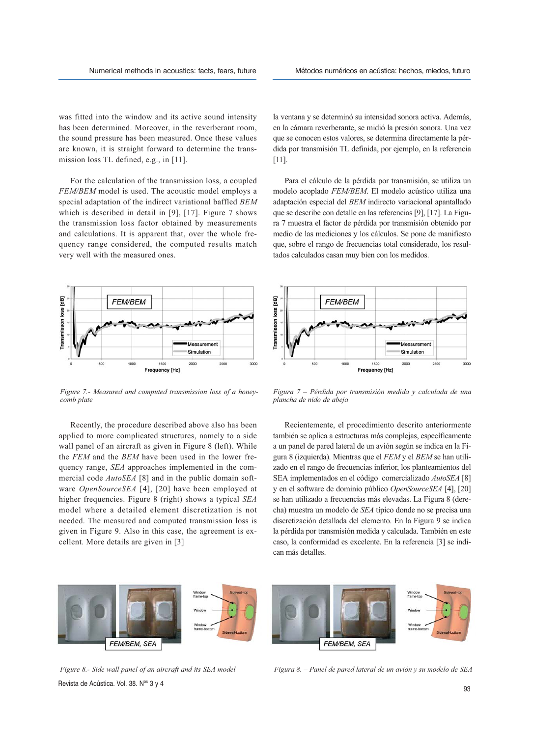was fitted into the window and its active sound intensity has been determined. Moreover, in the reverberant room, the sound pressure has been measured. Once these values are known, it is straight forward to determine the transmission loss TL defined, e.g., in [11].

For the calculation of the transmission loss, a coupled *FEM/BEM* model is used. The acoustic model employs a special adaptation of the indirect variational baffled *BEM* which is described in detail in [9], [17]. Figure 7 shows the transmission loss factor obtained by measurements and calculations. It is apparent that, over the whole frequency range considered, the computed results match very well with the measured ones.



*Figure 7.- Measured and computed transmission loss of a honeycomb plate*

Recently, the procedure described above also has been applied to more complicated structures, namely to a side wall panel of an aircraft as given in Figure 8 (left). While the *FEM* and the *BEM* have been used in the lower frequency range, *SEA* approaches implemented in the commercial code *AutoSEA* [8] and in the public domain software *OpenSourceSEA* [4], [20] have been employed at higher frequencies. Figure 8 (right) shows a typical *SEA* model where a detailed element discretization is not needed. The measured and computed transmission loss is given in Figure 9. Also in this case, the agreement is excellent. More details are given in [3]

la ventana y se determinó su intensidad sonora activa. Además, en la cámara reverberante, se midió la presión sonora. Una vez que se conocen estos valores, se determina directamente la pérdida por transmisión TL definida, por ejemplo, en la referencia [11].

Para el cálculo de la pérdida por transmisión, se utiliza un modelo acoplado *FEM/BEM*. El modelo acústico utiliza una adaptación especial del *BEM* indirecto variacional apantallado que se describe con detalle en las referencias [9], [17]. La Figura 7 muestra el factor de pérdida por transmisión obtenido por medio de las mediciones y los cálculos. Se pone de manifiesto que, sobre el rango de frecuencias total considerado, los resultados calculados casan muy bien con los medidos.



*Figura 7 – Pérdida por transmisión medida y calculada de una plancha de nido de abeja*

Recientemente, el procedimiento descrito anteriormente también se aplica a estructuras más complejas, específicamente a un panel de pared lateral de un avión según se indica en la Figura 8 (izquierda). Mientras que el *FEM* y el *BEM* se han utilizado en el rango de frecuencias inferior, los planteamientos del SEA implementados en el código comercializado *AutoSEA* [8] y en el software de dominio público *OpenSourceSEA* [4], [20] se han utilizado a frecuencias más elevadas. La Figura 8 (derecha) muestra un modelo de *SEA* típico donde no se precisa una discretización detallada del elemento. En la Figura 9 se indica la pérdida por transmisión medida y calculada. También en este caso, la conformidad es excelente. En la referencia [3] se indican más detalles.



Revista de Acústica. Vol. 38.  $N^{\circ s}$  3 y 4 93

*Figure 8.- Side wall panel of an aircraft and its SEA model Figura 8. – Panel de pared lateral de un avión y su modelo de SEA*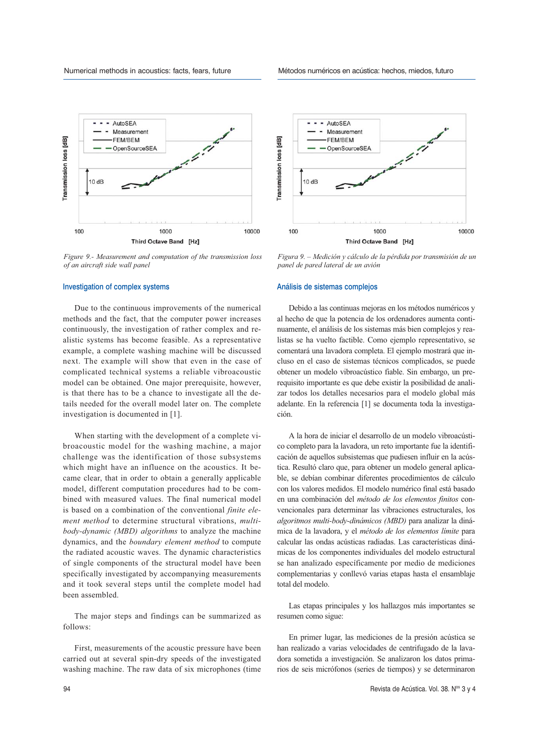

*Figure 9.- Measurement and computation of the transmission loss of an aircraft side wall panel*

#### Investigation of complex systems

Due to the continuous improvements of the numerical methods and the fact, that the computer power increases continuously, the investigation of rather complex and realistic systems has become feasible. As a representative example, a complete washing machine will be discussed next. The example will show that even in the case of complicated technical systems a reliable vibroacoustic model can be obtained. One major prerequisite, however, is that there has to be a chance to investigate all the details needed for the overall model later on. The complete investigation is documented in [1].

When starting with the development of a complete vibroacoustic model for the washing machine, a major challenge was the identification of those subsystems which might have an influence on the acoustics. It became clear, that in order to obtain a generally applicable model, different computation procedures had to be combined with measured values. The final numerical model is based on a combination of the conventional *finite element method* to determine structural vibrations, *multibody-dynamic (MBD) algorithms* to analyze the machine dynamics, and the *boundary element method* to compute the radiated acoustic waves. The dynamic characteristics of single components of the structural model have been specifically investigated by accompanying measurements and it took several steps until the complete model had been assembled.

The major steps and findings can be summarized as follows:

First, measurements of the acoustic pressure have been carried out at several spin-dry speeds of the investigated washing machine. The raw data of six microphones (time





*Figura 9. – Medición y cálculo de la pérdida por transmisión de un panel de pared lateral de un avión*

#### Análisis de sistemas complejos

Debido a las continuas mejoras en los métodos numéricos y al hecho de que la potencia de los ordenadores aumenta continuamente, el análisis de los sistemas más bien complejos y realistas se ha vuelto factible. Como ejemplo representativo, se comentará una lavadora completa. El ejemplo mostrará que incluso en el caso de sistemas técnicos complicados, se puede obtener un modelo vibroacústico fiable. Sin embargo, un prerequisito importante es que debe existir la posibilidad de analizar todos los detalles necesarios para el modelo global más adelante. En la referencia [1] se documenta toda la investigación.

A la hora de iniciar el desarrollo de un modelo vibroacústico completo para la lavadora, un reto importante fue la identificación de aquellos subsistemas que pudiesen influir en la acústica. Resultó claro que, para obtener un modelo general aplicable, se debían combinar diferentes procedimientos de cálculo con los valores medidos. El modelo numérico final está basado en una combinación del *método de los elementos finitos* convencionales para determinar las vibraciones estructurales, los *algoritmos multi-body-dinámicos (MBD)* para analizar la dinámica de la lavadora, y el *método de los elementos límite* para calcular las ondas acústicas radiadas. Las características dinámicas de los componentes individuales del modelo estructural se han analizado específicamente por medio de mediciones complementarias y conllevó varias etapas hasta el ensamblaje total del modelo.

Las etapas principales y los hallazgos más importantes se resumen como sigue:

En primer lugar, las mediciones de la presión acústica se han realizado a varias velocidades de centrifugado de la lavadora sometida a investigación. Se analizaron los datos primarios de seis micrófonos (series de tiempos) y se determinaron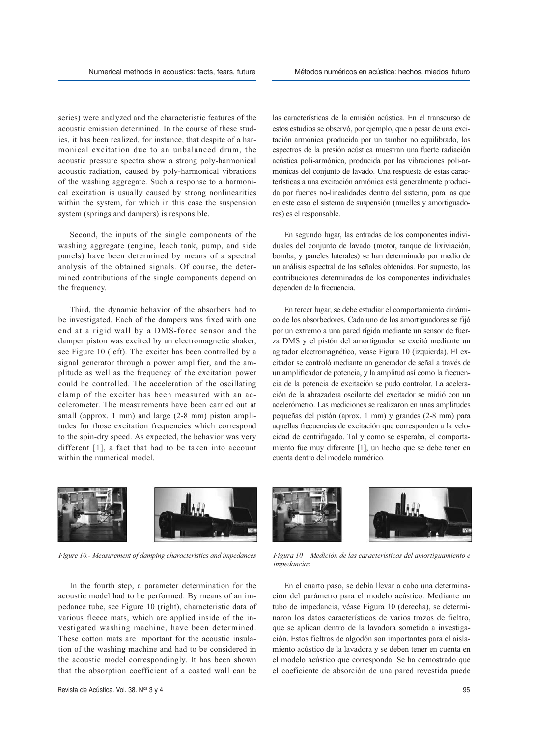series) were analyzed and the characteristic features of the acoustic emission determined. In the course of these studies, it has been realized, for instance, that despite of a harmonical excitation due to an unbalanced drum, the acoustic pressure spectra show a strong poly-harmonical acoustic radiation, caused by poly-harmonical vibrations of the washing aggregate. Such a response to a harmonical excitation is usually caused by strong nonlinearities within the system, for which in this case the suspension system (springs and dampers) is responsible.

Second, the inputs of the single components of the washing aggregate (engine, leach tank, pump, and side panels) have been determined by means of a spectral analysis of the obtained signals. Of course, the determined contributions of the single components depend on the frequency.

Third, the dynamic behavior of the absorbers had to be investigated. Each of the dampers was fixed with one end at a rigid wall by a DMS-force sensor and the damper piston was excited by an electromagnetic shaker, see Figure 10 (left). The exciter has been controlled by a signal generator through a power amplifier, and the amplitude as well as the frequency of the excitation power could be controlled. The acceleration of the oscillating clamp of the exciter has been measured with an accelerometer. The measurements have been carried out at small (approx. 1 mm) and large (2-8 mm) piston amplitudes for those excitation frequencies which correspond to the spin-dry speed. As expected, the behavior was very different [1], a fact that had to be taken into account within the numerical model.

las características de la emisión acústica. En el transcurso de estos estudios se observó, por ejemplo, que a pesar de una excitación armónica producida por un tambor no equilibrado, los espectros de la presión acústica muestran una fuerte radiación acústica poli-armónica, producida por las vibraciones poli-armónicas del conjunto de lavado. Una respuesta de estas características a una excitación armónica está generalmente producida por fuertes no-linealidades dentro del sistema, para las que en este caso el sistema de suspensión (muelles y amortiguadores) es el responsable.

En segundo lugar, las entradas de los componentes individuales del conjunto de lavado (motor, tanque de lixiviación, bomba, y paneles laterales) se han determinado por medio de un análisis espectral de las señales obtenidas. Por supuesto, las contribuciones determinadas de los componentes individuales dependen de la frecuencia.

En tercer lugar, se debe estudiar el comportamiento dinámico de los absorbedores. Cada uno de los amortiguadores se fijó por un extremo a una pared rígida mediante un sensor de fuerza DMS y el pistón del amortiguador se excitó mediante un agitador electromagnético, véase Figura 10 (izquierda). El excitador se controló mediante un generador de señal a través de un amplificador de potencia, y la amplitud así como la frecuencia de la potencia de excitación se pudo controlar. La aceleración de la abrazadera oscilante del excitador se midió con un acelerómetro. Las mediciones se realizaron en unas amplitudes pequeñas del pistón (aprox. 1 mm) y grandes (2-8 mm) para aquellas frecuencias de excitación que corresponden a la velocidad de centrifugado. Tal y como se esperaba, el comportamiento fue muy diferente [1], un hecho que se debe tener en cuenta dentro del modelo numérico.



In the fourth step, a parameter determination for the acoustic model had to be performed. By means of an impedance tube, see Figure 10 (right), characteristic data of various fleece mats, which are applied inside of the investigated washing machine, have been determined. These cotton mats are important for the acoustic insulation of the washing machine and had to be considered in the acoustic model correspondingly. It has been shown that the absorption coefficient of a coated wall can be





*Figure 10.- Measurement of damping characteristics and impedances Figura 10 – Medición de las características del amortiguamiento e impedancias*

En el cuarto paso, se debía llevar a cabo una determinación del parámetro para el modelo acústico. Mediante un tubo de impedancia, véase Figura 10 (derecha), se determinaron los datos característicos de varios trozos de fieltro, que se aplican dentro de la lavadora sometida a investigación. Estos fieltros de algodón son importantes para el aislamiento acústico de la lavadora y se deben tener en cuenta en el modelo acústico que corresponda. Se ha demostrado que el coeficiente de absorción de una pared revestida puede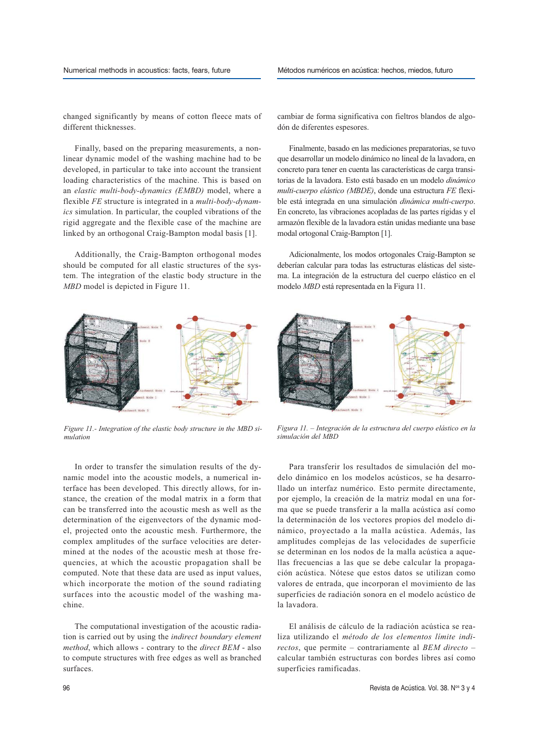changed significantly by means of cotton fleece mats of different thicknesses.

Finally, based on the preparing measurements, a nonlinear dynamic model of the washing machine had to be developed, in particular to take into account the transient loading characteristics of the machine. This is based on an *elastic multi-body-dynamics (EMBD)* model, where a flexible *FE* structure is integrated in a *multi-body-dynamics* simulation. In particular, the coupled vibrations of the rigid aggregate and the flexible case of the machine are linked by an orthogonal Craig-Bampton modal basis [1].

Additionally, the Craig-Bampton orthogonal modes should be computed for all elastic structures of the system. The integration of the elastic body structure in the *MBD* model is depicted in Figure 11.



*Figure 11.- Integration of the elastic body structure in the MBD simulation*

In order to transfer the simulation results of the dynamic model into the acoustic models, a numerical interface has been developed. This directly allows, for instance, the creation of the modal matrix in a form that can be transferred into the acoustic mesh as well as the determination of the eigenvectors of the dynamic model, projected onto the acoustic mesh. Furthermore, the complex amplitudes of the surface velocities are determined at the nodes of the acoustic mesh at those frequencies, at which the acoustic propagation shall be computed. Note that these data are used as input values, which incorporate the motion of the sound radiating surfaces into the acoustic model of the washing machine.

The computational investigation of the acoustic radiation is carried out by using the *indirect boundary element method*, which allows - contrary to the *direct BEM* - also to compute structures with free edges as well as branched surfaces.

cambiar de forma significativa con fieltros blandos de algodón de diferentes espesores.

Finalmente, basado en las mediciones preparatorias, se tuvo que desarrollar un modelo dinámico no lineal de la lavadora, en concreto para tener en cuenta las características de carga transitorias de la lavadora. Esto está basado en un modelo *dinámico multi-cuerpo elástico (MBDE)*, donde una estructura *FE* flexible está integrada en una simulación *dinámica multi-cuerpo*. En concreto, las vibraciones acopladas de las partes rígidas y el armazón flexible de la lavadora están unidas mediante una base modal ortogonal Craig-Bampton [1].

Adicionalmente, los modos ortogonales Craig-Bampton se deberían calcular para todas las estructuras elásticas del sistema. La integración de la estructura del cuerpo elástico en el modelo *MBD* está representada en la Figura 11.



*Figura 11. – Integración de la estructura del cuerpo elástico en la simulación del MBD*

Para transferir los resultados de simulación del modelo dinámico en los modelos acústicos, se ha desarrollado un interfaz numérico. Esto permite directamente, por ejemplo, la creación de la matriz modal en una forma que se puede transferir a la malla acústica así como la determinación de los vectores propios del modelo dinámico, proyectado a la malla acústica. Además, las amplitudes complejas de las velocidades de superficie se determinan en los nodos de la malla acústica a aquellas frecuencias a las que se debe calcular la propagación acústica. Nótese que estos datos se utilizan como valores de entrada, que incorporan el movimiento de las superficies de radiación sonora en el modelo acústico de la lavadora.

El análisis de cálculo de la radiación acústica se realiza utilizando el *método de los elementos límite indirectos*, que permite – contrariamente al *BEM directo* – calcular también estructuras con bordes libres así como superficies ramificadas.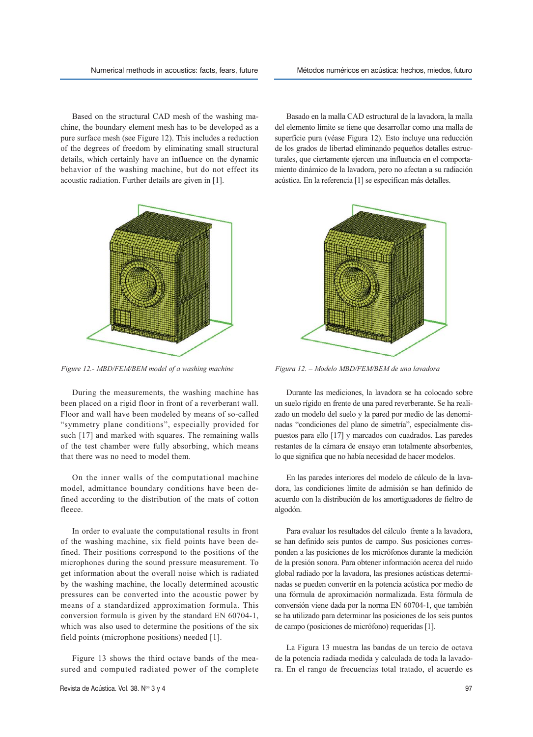Based on the structural CAD mesh of the washing machine, the boundary element mesh has to be developed as a pure surface mesh (see Figure 12). This includes a reduction of the degrees of freedom by eliminating small structural details, which certainly have an influence on the dynamic behavior of the washing machine, but do not effect its acoustic radiation. Further details are given in [1].

Basado en la malla CAD estructural de la lavadora, la malla del elemento límite se tiene que desarrollar como una malla de superficie pura (véase Figura 12). Esto incluye una reducción de los grados de libertad eliminando pequeños detalles estructurales, que ciertamente ejercen una influencia en el comportamiento dinámico de la lavadora, pero no afectan a su radiación acústica. En la referencia [1] se especifican más detalles.



*Figure 12.- MBD/FEM/BEM model of a washing machine Figura 12. – Modelo MBD/FEM/BEM de una lavadora*

During the measurements, the washing machine has been placed on a rigid floor in front of a reverberant wall. Floor and wall have been modeled by means of so-called "symmetry plane conditions", especially provided for such [17] and marked with squares. The remaining walls of the test chamber were fully absorbing, which means that there was no need to model them.

On the inner walls of the computational machine model, admittance boundary conditions have been defined according to the distribution of the mats of cotton fleece.

In order to evaluate the computational results in front of the washing machine, six field points have been defined. Their positions correspond to the positions of the microphones during the sound pressure measurement. To get information about the overall noise which is radiated by the washing machine, the locally determined acoustic pressures can be converted into the acoustic power by means of a standardized approximation formula. This conversion formula is given by the standard EN 60704-1, which was also used to determine the positions of the six field points (microphone positions) needed [1].

Figure 13 shows the third octave bands of the measured and computed radiated power of the complete



Durante las mediciones, la lavadora se ha colocado sobre un suelo rígido en frente de una pared reverberante. Se ha realizado un modelo del suelo y la pared por medio de las denominadas "condiciones del plano de simetría", especialmente dispuestos para ello [17] y marcados con cuadrados. Las paredes restantes de la cámara de ensayo eran totalmente absorbentes, lo que significa que no había necesidad de hacer modelos.

En las paredes interiores del modelo de cálculo de la lavadora, las condiciones límite de admisión se han definido de acuerdo con la distribución de los amortiguadores de fieltro de algodón.

Para evaluar los resultados del cálculo frente a la lavadora, se han definido seis puntos de campo. Sus posiciones corresponden a las posiciones de los micrófonos durante la medición de la presión sonora. Para obtener información acerca del ruido global radiado por la lavadora, las presiones acústicas determinadas se pueden convertir en la potencia acústica por medio de una fórmula de aproximación normalizada. Esta fórmula de conversión viene dada por la norma EN 60704-1, que también se ha utilizado para determinar las posiciones de los seis puntos de campo (posiciones de micrófono) requeridas [1].

La Figura 13 muestra las bandas de un tercio de octava de la potencia radiada medida y calculada de toda la lavadora. En el rango de frecuencias total tratado, el acuerdo es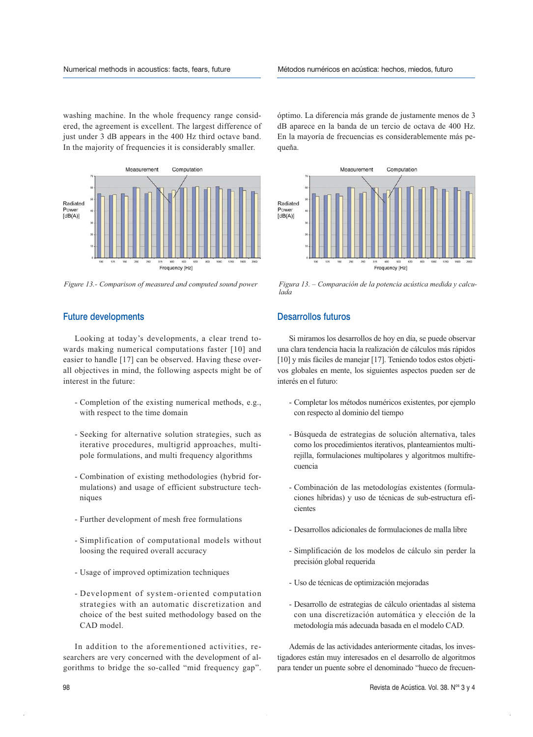washing machine. In the whole frequency range considered, the agreement is excellent. The largest difference of just under 3 dB appears in the 400 Hz third octave band. In the majority of frequencies it is considerably smaller.



# Future developments

Looking at today's developments, a clear trend towards making numerical computations faster [10] and easier to handle [17] can be observed. Having these overall objectives in mind, the following aspects might be of interest in the future:

- Completion of the existing numerical methods, e.g., with respect to the time domain
- Seeking for alternative solution strategies, such as iterative procedures, multigrid approaches, multipole formulations, and multi frequency algorithms
- Combination of existing methodologies (hybrid formulations) and usage of efficient substructure techniques
- Further development of mesh free formulations
- Simplification of computational models without loosing the required overall accuracy
- Usage of improved optimization techniques
- Development of system-oriented computation strategies with an automatic discretization and choice of the best suited methodology based on the CAD model.

In addition to the aforementioned activities, researchers are very concerned with the development of algorithms to bridge the so-called "mid frequency gap". óptimo. La diferencia más grande de justamente menos de 3 dB aparece en la banda de un tercio de octava de 400 Hz. En la mayoría de frecuencias es considerablemente más pequeña.



*Figure 13.- Comparison of measured and computed sound power Figura 13. – Comparación de la potencia acústica medida y calculada*

# Desarrollos futuros

Si miramos los desarrollos de hoy en día, se puede observar una clara tendencia hacia la realización de cálculos más rápidos [10] y más fáciles de manejar [17]. Teniendo todos estos objetivos globales en mente, los siguientes aspectos pueden ser de interés en el futuro:

- Completar los métodos numéricos existentes, por ejemplo con respecto al dominio del tiempo
- Búsqueda de estrategias de solución alternativa, tales como los procedimientos iterativos, planteamientos multirejilla, formulaciones multipolares y algoritmos multifrecuencia
- Combinación de las metodologías existentes (formulaciones híbridas) y uso de técnicas de sub-estructura eficientes
- Desarrollos adicionales de formulaciones de malla libre
- Simplificación de los modelos de cálculo sin perder la precisión global requerida
- Uso de técnicas de optimización mejoradas
- Desarrollo de estrategias de cálculo orientadas al sistema con una discretización automática y elección de la metodología más adecuada basada en el modelo CAD.

Además de las actividades anteriormente citadas, los investigadores están muy interesados en el desarrollo de algoritmos para tender un puente sobre el denominado "hueco de frecuen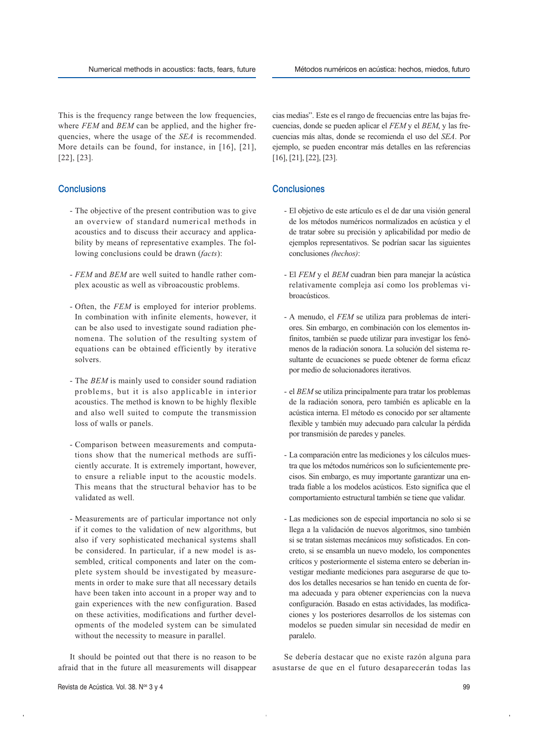This is the frequency range between the low frequencies, where *FEM* and *BEM* can be applied, and the higher frequencies, where the usage of the *SEA* is recommended. More details can be found, for instance, in [16], [21], [22], [23].

# **Conclusions**

- The objective of the present contribution was to give an overview of standard numerical methods in acoustics and to discuss their accuracy and applicability by means of representative examples. The following conclusions could be drawn (*facts*):
- *FEM* and *BEM* are well suited to handle rather complex acoustic as well as vibroacoustic problems.
- Often, the *FEM* is employed for interior problems. In combination with infinite elements, however, it can be also used to investigate sound radiation phenomena. The solution of the resulting system of equations can be obtained efficiently by iterative solvers.
- The *BEM* is mainly used to consider sound radiation problems, but it is also applicable in interior acoustics. The method is known to be highly flexible and also well suited to compute the transmission loss of walls or panels.
- Comparison between measurements and computations show that the numerical methods are sufficiently accurate. It is extremely important, however, to ensure a reliable input to the acoustic models. This means that the structural behavior has to be validated as well.
- Measurements are of particular importance not only if it comes to the validation of new algorithms, but also if very sophisticated mechanical systems shall be considered. In particular, if a new model is assembled, critical components and later on the complete system should be investigated by measurements in order to make sure that all necessary details have been taken into account in a proper way and to gain experiences with the new configuration. Based on these activities, modifications and further developments of the modeled system can be simulated without the necessity to measure in parallel.

It should be pointed out that there is no reason to be afraid that in the future all measurements will disappear cias medias". Este es el rango de frecuencias entre las bajas frecuencias, donde se pueden aplicar el *FEM* y el *BEM*, y las frecuencias más altas, donde se recomienda el uso del *SEA*. Por ejemplo, se pueden encontrar más detalles en las referencias [16], [21], [22], [23].

# **Conclusiones**

- El objetivo de este artículo es el de dar una visión general de los métodos numéricos normalizados en acústica y el de tratar sobre su precisión y aplicabilidad por medio de ejemplos representativos. Se podrían sacar las siguientes conclusiones *(hechos)*:
- El *FEM* y el *BEM* cuadran bien para manejar la acústica relativamente compleja así como los problemas vibroacústicos.
- A menudo, el *FEM* se utiliza para problemas de interiores. Sin embargo, en combinación con los elementos infinitos, también se puede utilizar para investigar los fenómenos de la radiación sonora. La solución del sistema resultante de ecuaciones se puede obtener de forma eficaz por medio de solucionadores iterativos.
- el *BEM* se utiliza principalmente para tratar los problemas de la radiación sonora, pero también es aplicable en la acústica interna. El método es conocido por ser altamente flexible y también muy adecuado para calcular la pérdida por transmisión de paredes y paneles.
- La comparación entre las mediciones y los cálculos muestra que los métodos numéricos son lo suficientemente precisos. Sin embargo, es muy importante garantizar una entrada fiable a los modelos acústicos. Esto significa que el comportamiento estructural también se tiene que validar.
- Las mediciones son de especial importancia no solo si se llega a la validación de nuevos algoritmos, sino también si se tratan sistemas mecánicos muy sofisticados. En concreto, si se ensambla un nuevo modelo, los componentes críticos y posteriormente el sistema entero se deberían investigar mediante mediciones para asegurarse de que todos los detalles necesarios se han tenido en cuenta de forma adecuada y para obtener experiencias con la nueva configuración. Basado en estas actividades, las modificaciones y los posteriores desarrollos de los sistemas con modelos se pueden simular sin necesidad de medir en paralelo.

Se debería destacar que no existe razón alguna para asustarse de que en el futuro desaparecerán todas las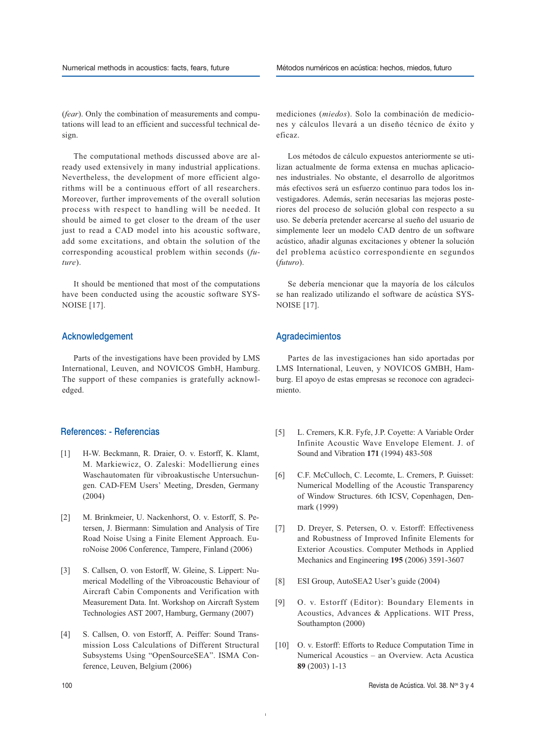(*fear*). Only the combination of measurements and computations will lead to an efficient and successful technical design.

The computational methods discussed above are already used extensively in many industrial applications. Nevertheless, the development of more efficient algorithms will be a continuous effort of all researchers. Moreover, further improvements of the overall solution process with respect to handling will be needed. It should be aimed to get closer to the dream of the user just to read a CAD model into his acoustic software, add some excitations, and obtain the solution of the corresponding acoustical problem within seconds (*future*).

It should be mentioned that most of the computations have been conducted using the acoustic software SYS-NOISE [17].

# Acknowledgement

Parts of the investigations have been provided by LMS International, Leuven, and NOVICOS GmbH, Hamburg. The support of these companies is gratefully acknowledged.

# References: - Referencias

- [1] H-W. Beckmann, R. Draier, O. v. Estorff, K. Klamt, M. Markiewicz, O. Zaleski: Modellierung eines Waschautomaten für vibroakustische Untersuchungen. CAD-FEM Users' Meeting, Dresden, Germany (2004)
- [2] M. Brinkmeier, U. Nackenhorst, O. v. Estorff, S. Petersen, J. Biermann: Simulation and Analysis of Tire Road Noise Using a Finite Element Approach. EuroNoise 2006 Conference, Tampere, Finland (2006)
- [3] S. Callsen, O. von Estorff, W. Gleine, S. Lippert: Numerical Modelling of the Vibroacoustic Behaviour of Aircraft Cabin Components and Verification with Measurement Data. Int. Workshop on Aircraft System Technologies AST 2007, Hamburg, Germany (2007)
- [4] S. Callsen, O. von Estorff, A. Peiffer: Sound Transmission Loss Calculations of Different Structural Subsystems Using "OpenSourceSEA". ISMA Conference, Leuven, Belgium (2006)

mediciones (*miedos*). Solo la combinación de mediciones y cálculos llevará a un diseño técnico de éxito y eficaz.

Los métodos de cálculo expuestos anteriormente se utilizan actualmente de forma extensa en muchas aplicaciones industriales. No obstante, el desarrollo de algoritmos más efectivos será un esfuerzo continuo para todos los investigadores. Además, serán necesarias las mejoras posteriores del proceso de solución global con respecto a su uso. Se debería pretender acercarse al sueño del usuario de simplemente leer un modelo CAD dentro de un software acústico, añadir algunas excitaciones y obtener la solución del problema acústico correspondiente en segundos (*futuro*).

Se debería mencionar que la mayoría de los cálculos se han realizado utilizando el software de acústica SYS-NOISE [17].

# Agradecimientos

Partes de las investigaciones han sido aportadas por LMS International, Leuven, y NOVICOS GMBH, Hamburg. El apoyo de estas empresas se reconoce con agradecimiento.

- [5] L. Cremers, K.R. Fyfe, J.P. Coyette: A Variable Order Infinite Acoustic Wave Envelope Element. J. of Sound and Vibration **171** (1994) 483-508
- [6] C.F. McCulloch, C. Lecomte, L. Cremers, P. Guisset: Numerical Modelling of the Acoustic Transparency of Window Structures. 6th ICSV, Copenhagen, Denmark (1999)
- [7] D. Dreyer, S. Petersen, O. v. Estorff: Effectiveness and Robustness of Improved Infinite Elements for Exterior Acoustics. Computer Methods in Applied Mechanics and Engineering **195** (2006) 3591-3607
- [8] ESI Group, AutoSEA2 User's guide (2004)
- [9] O. v. Estorff (Editor): Boundary Elements in Acoustics, Advances & Applications. WIT Press, Southampton (2000)
- [10] O. v. Estorff: Efforts to Reduce Computation Time in Numerical Acoustics – an Overview. Acta Acustica **89** (2003) 1-13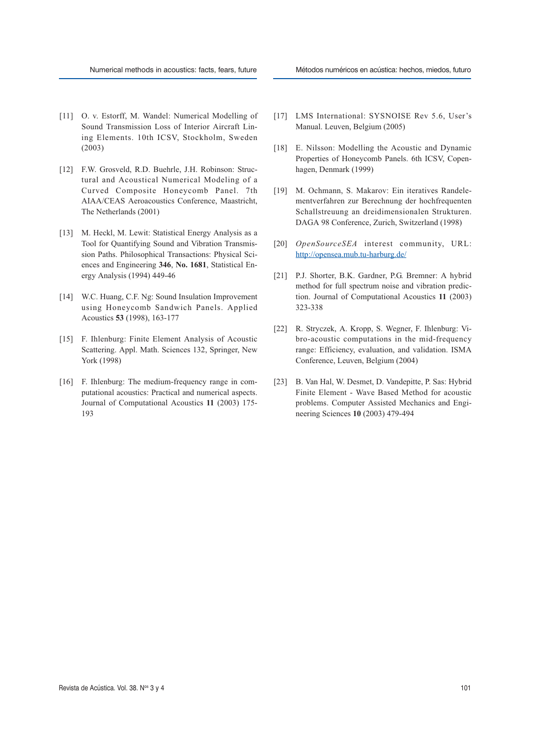- [11] O. v. Estorff, M. Wandel: Numerical Modelling of Sound Transmission Loss of Interior Aircraft Lining Elements. 10th ICSV, Stockholm, Sweden (2003)
- [12] F.W. Grosveld, R.D. Buehrle, J.H. Robinson: Structural and Acoustical Numerical Modeling of a Curved Composite Honeycomb Panel. 7th AIAA/CEAS Aeroacoustics Conference, Maastricht, The Netherlands (2001)
- [13] M. Heckl, M. Lewit: Statistical Energy Analysis as a Tool for Quantifying Sound and Vibration Transmission Paths. Philosophical Transactions: Physical Sciences and Engineering **346**, **No. 1681**, Statistical Energy Analysis (1994) 449-46
- [14] W.C. Huang, C.F. Ng: Sound Insulation Improvement using Honeycomb Sandwich Panels. Applied Acoustics **53** (1998), 163-177
- [15] F. Ihlenburg: Finite Element Analysis of Acoustic Scattering. Appl. Math. Sciences 132, Springer, New York (1998)
- [16] F. Ihlenburg: The medium-frequency range in computational acoustics: Practical and numerical aspects. Journal of Computational Acoustics **11** (2003) 175- 193
- [17] LMS International: SYSNOISE Rev 5.6, User's Manual. Leuven, Belgium (2005)
- [18] E. Nilsson: Modelling the Acoustic and Dynamic Properties of Honeycomb Panels. 6th ICSV, Copenhagen, Denmark (1999)
- [19] M. Ochmann, S. Makarov: Ein iteratives Randelementverfahren zur Berechnung der hochfrequenten Schallstreuung an dreidimensionalen Strukturen. DAGA 98 Conference, Zurich, Switzerland (1998)
- [20] *OpenSourceSEA* interest community, URL: http://opensea.mub.tu-harburg.de/
- [21] P.J. Shorter, B.K. Gardner, P.G. Bremner: A hybrid method for full spectrum noise and vibration prediction. Journal of Computational Acoustics **11** (2003) 323-338
- [22] R. Stryczek, A. Kropp, S. Wegner, F. Ihlenburg: Vibro-acoustic computations in the mid-frequency range: Efficiency, evaluation, and validation. ISMA Conference, Leuven, Belgium (2004)
- [23] B. Van Hal, W. Desmet, D. Vandepitte, P. Sas: Hybrid Finite Element - Wave Based Method for acoustic problems. Computer Assisted Mechanics and Engineering Sciences **10** (2003) 479-494